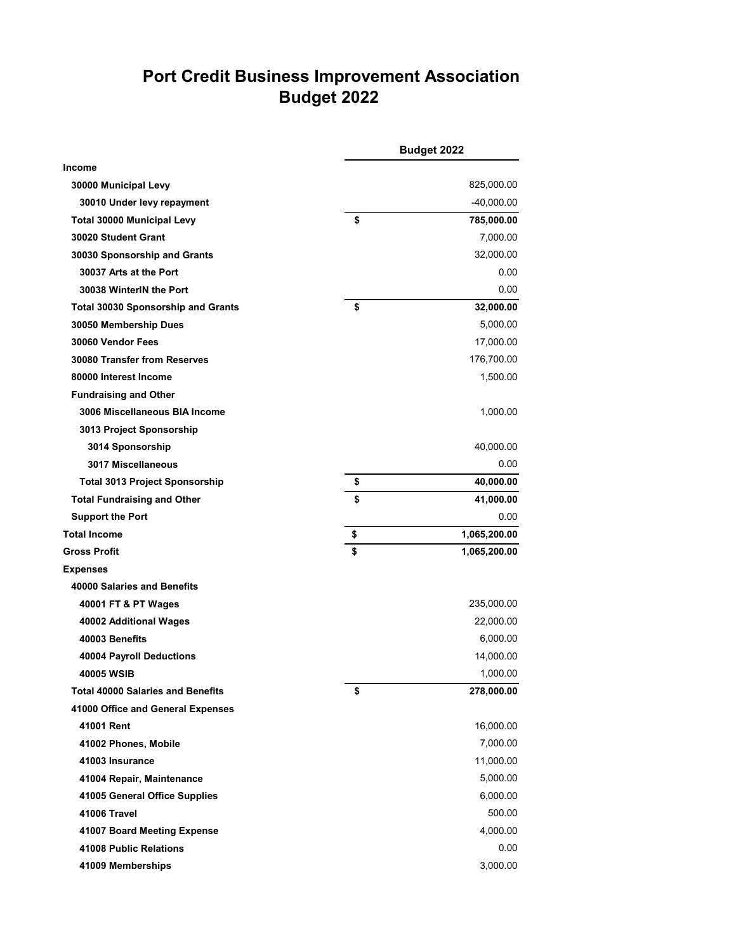## **Port Credit Business Improvement Association Budget 2022**

|                                           | Budget 2022 |              |
|-------------------------------------------|-------------|--------------|
| <b>Income</b>                             |             |              |
| 30000 Municipal Levy                      |             | 825,000.00   |
| 30010 Under levy repayment                |             | -40,000.00   |
| <b>Total 30000 Municipal Levy</b>         | \$          | 785,000.00   |
| 30020 Student Grant                       |             | 7,000.00     |
| 30030 Sponsorship and Grants              |             | 32,000.00    |
| 30037 Arts at the Port                    |             | 0.00         |
| 30038 WinterIN the Port                   |             | 0.00         |
| <b>Total 30030 Sponsorship and Grants</b> | \$          | 32,000.00    |
| 30050 Membership Dues                     |             | 5,000.00     |
| 30060 Vendor Fees                         |             | 17,000.00    |
| 30080 Transfer from Reserves              |             | 176,700.00   |
| 80000 Interest Income                     |             | 1,500.00     |
| <b>Fundraising and Other</b>              |             |              |
| 3006 Miscellaneous BIA Income             |             | 1,000.00     |
| 3013 Project Sponsorship                  |             |              |
| 3014 Sponsorship                          |             | 40,000.00    |
| 3017 Miscellaneous                        |             | 0.00         |
| <b>Total 3013 Project Sponsorship</b>     | \$          | 40,000.00    |
| <b>Total Fundraising and Other</b>        | \$          | 41,000.00    |
| <b>Support the Port</b>                   |             | 0.00         |
| <b>Total Income</b>                       | \$          | 1,065,200.00 |
| <b>Gross Profit</b>                       | \$          | 1,065,200.00 |
| <b>Expenses</b>                           |             |              |
| 40000 Salaries and Benefits               |             |              |
| 40001 FT & PT Wages                       |             | 235,000.00   |
| 40002 Additional Wages                    |             | 22,000.00    |
| 40003 Benefits                            |             | 6,000.00     |
| 40004 Payroll Deductions                  |             | 14,000.00    |
| <b>40005 WSIB</b>                         |             | 1,000.00     |
| <b>Total 40000 Salaries and Benefits</b>  | \$          | 278,000.00   |
| 41000 Office and General Expenses         |             |              |
| 41001 Rent                                |             | 16,000.00    |
| 41002 Phones, Mobile                      |             | 7,000.00     |
| 41003 Insurance                           |             | 11,000.00    |
| 41004 Repair, Maintenance                 |             | 5,000.00     |
| 41005 General Office Supplies             |             | 6,000.00     |
| 41006 Travel                              |             | 500.00       |
| 41007 Board Meeting Expense               |             | 4,000.00     |
| 41008 Public Relations                    |             | 0.00         |
| 41009 Memberships                         |             | 3,000.00     |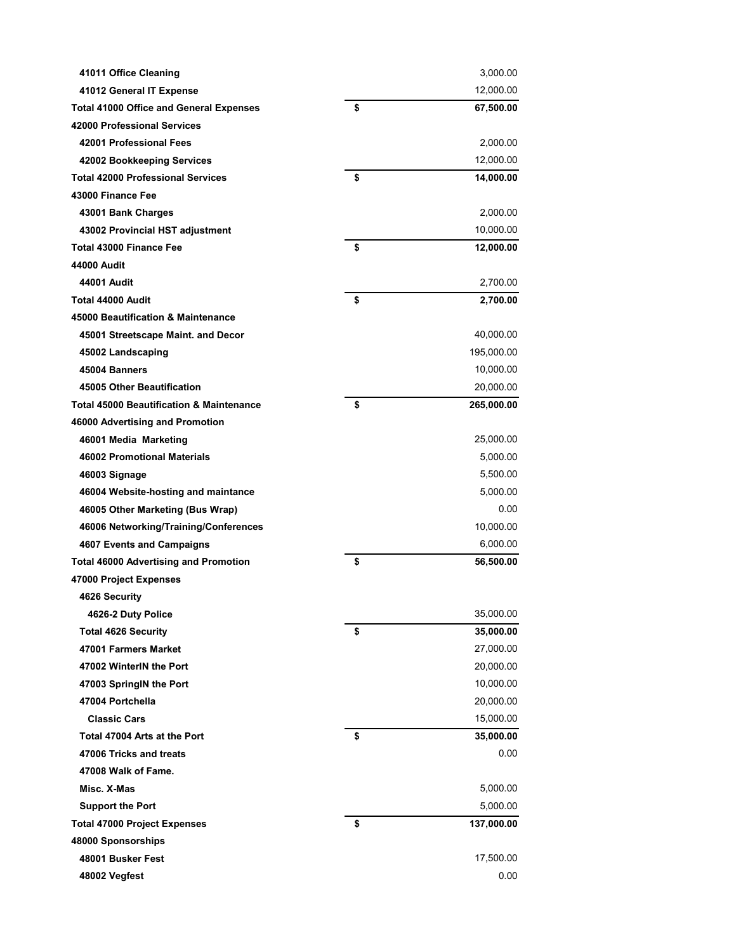| 41011 Office Cleaning                               | 3,000.00         |
|-----------------------------------------------------|------------------|
| 41012 General IT Expense                            | 12,000.00        |
| <b>Total 41000 Office and General Expenses</b>      | \$<br>67,500.00  |
| 42000 Professional Services                         |                  |
| 42001 Professional Fees                             | 2,000.00         |
| 42002 Bookkeeping Services                          | 12,000.00        |
| <b>Total 42000 Professional Services</b>            | \$<br>14,000.00  |
| 43000 Finance Fee                                   |                  |
| 43001 Bank Charges                                  | 2,000.00         |
| 43002 Provincial HST adjustment                     | 10,000.00        |
| Total 43000 Finance Fee                             | \$<br>12,000.00  |
| 44000 Audit                                         |                  |
| 44001 Audit                                         | 2,700.00         |
| Total 44000 Audit                                   | \$<br>2,700.00   |
| 45000 Beautification & Maintenance                  |                  |
| 45001 Streetscape Maint. and Decor                  | 40,000.00        |
| 45002 Landscaping                                   | 195,000.00       |
| 45004 Banners                                       | 10,000.00        |
| 45005 Other Beautification                          | 20,000.00        |
| <b>Total 45000 Beautification &amp; Maintenance</b> | \$<br>265,000.00 |
| 46000 Advertising and Promotion                     |                  |
| 46001 Media Marketing                               | 25,000.00        |
| <b>46002 Promotional Materials</b>                  | 5,000.00         |
| 46003 Signage                                       | 5,500.00         |
| 46004 Website-hosting and maintance                 | 5,000.00         |
| 46005 Other Marketing (Bus Wrap)                    | 0.00             |
| 46006 Networking/Training/Conferences               | 10,000.00        |
| 4607 Events and Campaigns                           | 6,000.00         |
| <b>Total 46000 Advertising and Promotion</b>        | \$<br>56,500.00  |
| 47000 Project Expenses                              |                  |
| 4626 Security                                       |                  |
| 4626-2 Duty Police                                  | 35,000.00        |
| <b>Total 4626 Security</b>                          | \$<br>35,000.00  |
| 47001 Farmers Market                                | 27,000.00        |
| 47002 WinterIN the Port                             | 20,000.00        |
| 47003 SpringIN the Port                             | 10,000.00        |
| 47004 Portchella                                    | 20,000.00        |
| <b>Classic Cars</b>                                 | 15,000.00        |
| Total 47004 Arts at the Port                        | \$<br>35,000.00  |
| 47006 Tricks and treats                             | 0.00             |
| 47008 Walk of Fame.                                 |                  |
| Misc. X-Mas                                         | 5,000.00         |
| <b>Support the Port</b>                             | 5,000.00         |
| <b>Total 47000 Project Expenses</b>                 | \$<br>137,000.00 |
| 48000 Sponsorships                                  |                  |
| 48001 Busker Fest                                   | 17,500.00        |
| 48002 Vegfest                                       | 0.00             |
|                                                     |                  |